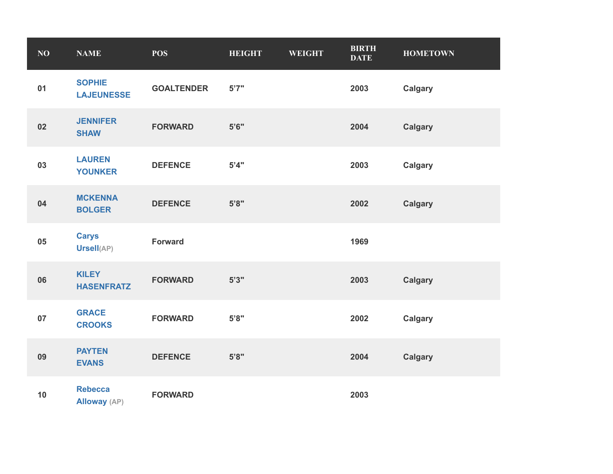| NO | <b>NAME</b>                           | <b>POS</b>        | <b>HEIGHT</b> | <b>WEIGHT</b> | <b>BIRTH</b><br><b>DATE</b> | <b>HOMETOWN</b> |
|----|---------------------------------------|-------------------|---------------|---------------|-----------------------------|-----------------|
| 01 | <b>SOPHIE</b><br><b>LAJEUNESSE</b>    | <b>GOALTENDER</b> | 5'7''         |               | 2003                        | <b>Calgary</b>  |
| 02 | <b>JENNIFER</b><br><b>SHAW</b>        | <b>FORWARD</b>    | 5'6''         |               | 2004                        | <b>Calgary</b>  |
| 03 | <b>LAUREN</b><br><b>YOUNKER</b>       | <b>DEFENCE</b>    | 5'4"          |               | 2003                        | <b>Calgary</b>  |
| 04 | <b>MCKENNA</b><br><b>BOLGER</b>       | <b>DEFENCE</b>    | 5'8"          |               | 2002                        | <b>Calgary</b>  |
| 05 | <b>Carys</b><br>Ursell(AP)            | <b>Forward</b>    |               |               | 1969                        |                 |
| 06 | <b>KILEY</b><br><b>HASENFRATZ</b>     | <b>FORWARD</b>    | 5'3''         |               | 2003                        | <b>Calgary</b>  |
| 07 | <b>GRACE</b><br><b>CROOKS</b>         | <b>FORWARD</b>    | 5'8"          |               | 2002                        | <b>Calgary</b>  |
| 09 | <b>PAYTEN</b><br><b>EVANS</b>         | <b>DEFENCE</b>    | 5'8"          |               | 2004                        | <b>Calgary</b>  |
| 10 | <b>Rebecca</b><br><b>Alloway</b> (AP) | <b>FORWARD</b>    |               |               | 2003                        |                 |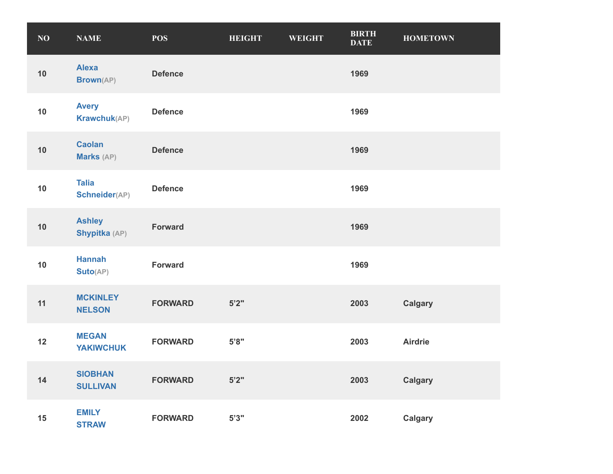| NO | <b>NAME</b>                       | <b>POS</b>     | <b>HEIGHT</b> | <b>WEIGHT</b> | <b>BIRTH</b><br><b>DATE</b> | <b>HOMETOWN</b> |
|----|-----------------------------------|----------------|---------------|---------------|-----------------------------|-----------------|
| 10 | <b>Alexa</b><br><b>Brown(AP)</b>  | <b>Defence</b> |               |               | 1969                        |                 |
| 10 | <b>Avery</b><br>Krawchuk(AP)      | <b>Defence</b> |               |               | 1969                        |                 |
| 10 | <b>Caolan</b><br>Marks (AP)       | <b>Defence</b> |               |               | 1969                        |                 |
| 10 | <b>Talia</b><br>Schneider(AP)     | <b>Defence</b> |               |               | 1969                        |                 |
| 10 | <b>Ashley</b><br>Shypitka (AP)    | <b>Forward</b> |               |               | 1969                        |                 |
| 10 | <b>Hannah</b><br>Suto(AP)         | <b>Forward</b> |               |               | 1969                        |                 |
| 11 | <b>MCKINLEY</b><br><b>NELSON</b>  | <b>FORWARD</b> | $5'2"$        |               | 2003                        | <b>Calgary</b>  |
| 12 | <b>MEGAN</b><br><b>YAKIWCHUK</b>  | <b>FORWARD</b> | 5'8"          |               | 2003                        | <b>Airdrie</b>  |
| 14 | <b>SIOBHAN</b><br><b>SULLIVAN</b> | <b>FORWARD</b> | 5'2"          |               | 2003                        | <b>Calgary</b>  |
| 15 | <b>EMILY</b><br><b>STRAW</b>      | <b>FORWARD</b> | 5'3''         |               | 2002                        | <b>Calgary</b>  |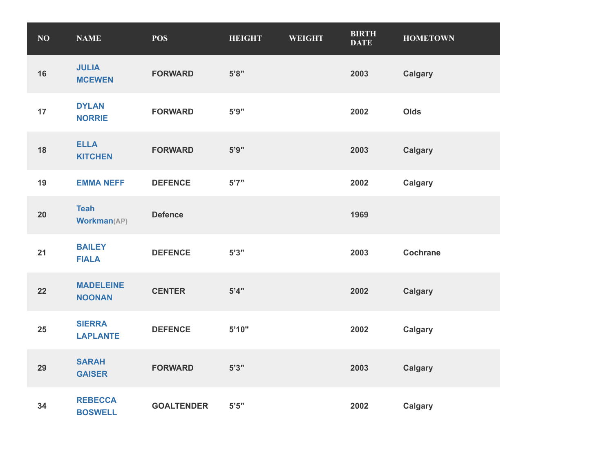| NO | <b>NAME</b>                       | <b>POS</b>        | <b>HEIGHT</b> | <b>WEIGHT</b> | <b>BIRTH</b><br><b>DATE</b> | <b>HOMETOWN</b> |
|----|-----------------------------------|-------------------|---------------|---------------|-----------------------------|-----------------|
| 16 | <b>JULIA</b><br><b>MCEWEN</b>     | <b>FORWARD</b>    | 5'8"          |               | 2003                        | <b>Calgary</b>  |
| 17 | <b>DYLAN</b><br><b>NORRIE</b>     | <b>FORWARD</b>    | 5'9"          |               | 2002                        | Olds            |
| 18 | <b>ELLA</b><br><b>KITCHEN</b>     | <b>FORWARD</b>    | 5'9''         |               | 2003                        | <b>Calgary</b>  |
| 19 | <b>EMMA NEFF</b>                  | <b>DEFENCE</b>    | 5'7''         |               | 2002                        | <b>Calgary</b>  |
| 20 | <b>Teah</b><br><b>Workman(AP)</b> | <b>Defence</b>    |               |               | 1969                        |                 |
| 21 | <b>BAILEY</b><br><b>FIALA</b>     | <b>DEFENCE</b>    | 5'3''         |               | 2003                        | <b>Cochrane</b> |
| 22 | <b>MADELEINE</b><br><b>NOONAN</b> | <b>CENTER</b>     | 5'4"          |               | 2002                        | <b>Calgary</b>  |
| 25 | <b>SIERRA</b><br><b>LAPLANTE</b>  | <b>DEFENCE</b>    | 5'10"         |               | 2002                        | <b>Calgary</b>  |
| 29 | <b>SARAH</b><br><b>GAISER</b>     | <b>FORWARD</b>    | 5'3''         |               | 2003                        | <b>Calgary</b>  |
| 34 | <b>REBECCA</b><br><b>BOSWELL</b>  | <b>GOALTENDER</b> | $5'5"$        |               | 2002                        | <b>Calgary</b>  |